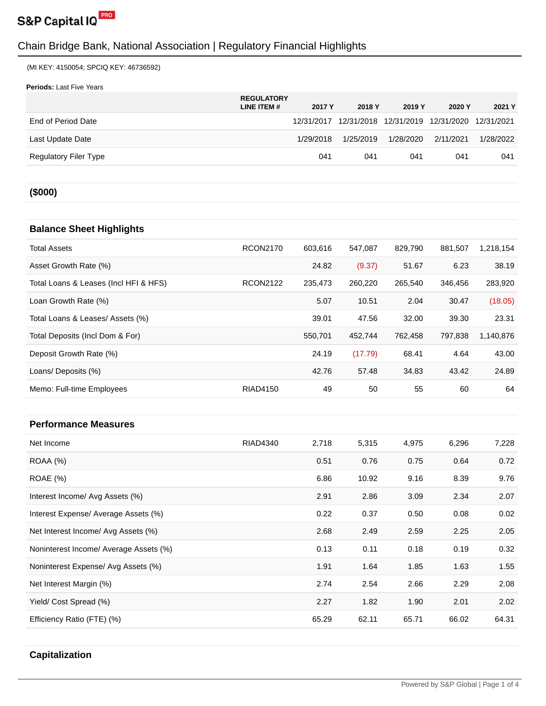

(MI KEY: 4150054; SPCIQ KEY: 46736592)

**Periods:** Last Five Years

|                       | <b>REGULATORY</b><br>LINE ITEM # | 2017 Y    | 2018 Y    | 2019 Y    | 2020 Y                                                 | 2021 Y    |
|-----------------------|----------------------------------|-----------|-----------|-----------|--------------------------------------------------------|-----------|
| End of Period Date    |                                  |           |           |           | 12/31/2017 12/31/2018 12/31/2019 12/31/2020 12/31/2021 |           |
| Last Update Date      |                                  | 1/29/2018 | 1/25/2019 | 1/28/2020 | 2/11/2021                                              | 1/28/2022 |
| Regulatory Filer Type |                                  | 041       | 041       | 041       | 041                                                    | 041       |
|                       |                                  |           |           |           |                                                        |           |

### **(\$000)**

### **Balance Sheet Highlights**

| <b>Total Assets</b>                   | <b>RCON2170</b> | 603.616 | 547.087 | 829,790 | 881,507 | 1,218,154 |
|---------------------------------------|-----------------|---------|---------|---------|---------|-----------|
| Asset Growth Rate (%)                 |                 | 24.82   | (9.37)  | 51.67   | 6.23    | 38.19     |
| Total Loans & Leases (Incl HFI & HFS) | <b>RCON2122</b> | 235,473 | 260.220 | 265.540 | 346.456 | 283,920   |
| Loan Growth Rate (%)                  |                 | 5.07    | 10.51   | 2.04    | 30.47   | (18.05)   |
| Total Loans & Leases/ Assets (%)      |                 | 39.01   | 47.56   | 32.00   | 39.30   | 23.31     |
| Total Deposits (Incl Dom & For)       |                 | 550.701 | 452.744 | 762.458 | 797.838 | 1,140,876 |
| Deposit Growth Rate (%)               |                 | 24.19   | (17.79) | 68.41   | 4.64    | 43.00     |
| Loans/ Deposits (%)                   |                 | 42.76   | 57.48   | 34.83   | 43.42   | 24.89     |
| Memo: Full-time Employees             | RIAD4150        | 49      | 50      | 55      | 60      | 64        |

#### **Performance Measures**

| Net Income                             | RIAD4340 | 2,718 | 5,315 | 4,975 | 6,296 | 7,228 |
|----------------------------------------|----------|-------|-------|-------|-------|-------|
| ROAA (%)                               |          | 0.51  | 0.76  | 0.75  | 0.64  | 0.72  |
| ROAE (%)                               |          | 6.86  | 10.92 | 9.16  | 8.39  | 9.76  |
| Interest Income/ Avg Assets (%)        |          | 2.91  | 2.86  | 3.09  | 2.34  | 2.07  |
| Interest Expense/ Average Assets (%)   |          | 0.22  | 0.37  | 0.50  | 0.08  | 0.02  |
| Net Interest Income/ Avg Assets (%)    |          | 2.68  | 2.49  | 2.59  | 2.25  | 2.05  |
| Noninterest Income/ Average Assets (%) |          | 0.13  | 0.11  | 0.18  | 0.19  | 0.32  |
| Noninterest Expense/ Avg Assets (%)    |          | 1.91  | 1.64  | 1.85  | 1.63  | 1.55  |
| Net Interest Margin (%)                |          | 2.74  | 2.54  | 2.66  | 2.29  | 2.08  |
| Yield/ Cost Spread (%)                 |          | 2.27  | 1.82  | 1.90  | 2.01  | 2.02  |
| Efficiency Ratio (FTE) (%)             |          | 65.29 | 62.11 | 65.71 | 66.02 | 64.31 |
|                                        |          |       |       |       |       |       |

#### **Capitalization**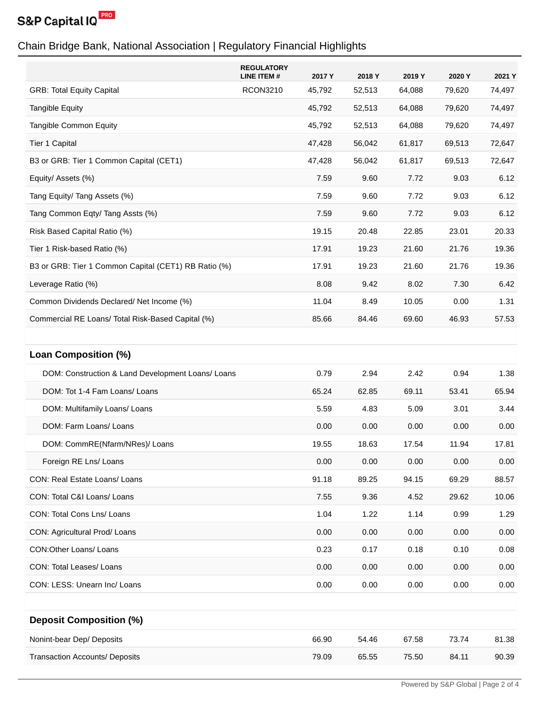

|                                                      | <b>REGULATORY</b><br><b>LINE ITEM#</b> | 2017 Y | 2018 Y | 2019 Y | 2020 Y | 2021 Y |
|------------------------------------------------------|----------------------------------------|--------|--------|--------|--------|--------|
| <b>GRB: Total Equity Capital</b>                     | <b>RCON3210</b>                        | 45,792 | 52,513 | 64,088 | 79,620 | 74,497 |
| <b>Tangible Equity</b>                               |                                        | 45,792 | 52,513 | 64,088 | 79,620 | 74,497 |
| Tangible Common Equity                               |                                        | 45,792 | 52,513 | 64,088 | 79,620 | 74,497 |
| Tier 1 Capital                                       |                                        | 47,428 | 56,042 | 61,817 | 69,513 | 72,647 |
| B3 or GRB: Tier 1 Common Capital (CET1)              |                                        | 47,428 | 56,042 | 61,817 | 69,513 | 72,647 |
| Equity/ Assets (%)                                   |                                        | 7.59   | 9.60   | 7.72   | 9.03   | 6.12   |
| Tang Equity/ Tang Assets (%)                         |                                        | 7.59   | 9.60   | 7.72   | 9.03   | 6.12   |
| Tang Common Eqty/ Tang Assts (%)                     |                                        | 7.59   | 9.60   | 7.72   | 9.03   | 6.12   |
| Risk Based Capital Ratio (%)                         |                                        | 19.15  | 20.48  | 22.85  | 23.01  | 20.33  |
| Tier 1 Risk-based Ratio (%)                          |                                        | 17.91  | 19.23  | 21.60  | 21.76  | 19.36  |
| B3 or GRB: Tier 1 Common Capital (CET1) RB Ratio (%) |                                        | 17.91  | 19.23  | 21.60  | 21.76  | 19.36  |
| Leverage Ratio (%)                                   |                                        | 8.08   | 9.42   | 8.02   | 7.30   | 6.42   |
| Common Dividends Declared/ Net Income (%)            |                                        | 11.04  | 8.49   | 10.05  | 0.00   | 1.31   |
| Commercial RE Loans/ Total Risk-Based Capital (%)    |                                        | 85.66  | 84.46  | 69.60  | 46.93  | 57.53  |
|                                                      |                                        |        |        |        |        |        |
| Loan Composition (%)                                 |                                        |        |        |        |        |        |
| DOM: Construction & Land Development Loans/ Loans    |                                        | 0.79   | 2.94   | 2.42   | 0.94   | 1.38   |
| DOM: Tot 1-4 Fam Loans/ Loans                        |                                        | 65.24  | 62.85  | 69.11  | 53.41  | 65.94  |
| DOM: Multifamily Loans/ Loans                        |                                        | 5.59   | 4.83   | 5.09   | 3.01   | 3.44   |
| DOM: Farm Loans/ Loans                               |                                        | 0.00   | 0.00   | 0.00   | 0.00   | 0.00   |
| DOM: CommRE(Nfarm/NRes)/ Loans                       |                                        | 19.55  | 18.63  | 17.54  | 11.94  | 17.81  |
| Foreign RE Lns/ Loans                                |                                        | 0.00   | 0.00   | 0.00   | 0.00   | 0.00   |
| CON: Real Estate Loans/ Loans                        |                                        | 91.18  | 89.25  | 94.15  | 69.29  | 88.57  |
| CON: Total C&I Loans/ Loans                          |                                        | 7.55   | 9.36   | 4.52   | 29.62  | 10.06  |
| CON: Total Cons Lns/ Loans                           |                                        | 1.04   | 1.22   | 1.14   | 0.99   | 1.29   |
| CON: Agricultural Prod/ Loans                        |                                        | 0.00   | 0.00   | 0.00   | 0.00   | 0.00   |
| CON: Other Loans/ Loans                              |                                        | 0.23   | 0.17   | 0.18   | 0.10   | 0.08   |
| CON: Total Leases/ Loans                             |                                        | 0.00   | 0.00   | 0.00   | 0.00   | 0.00   |
| CON: LESS: Unearn Inc/ Loans                         |                                        | 0.00   | 0.00   | 0.00   | 0.00   | 0.00   |
|                                                      |                                        |        |        |        |        |        |
| <b>Deposit Composition (%)</b>                       |                                        |        |        |        |        |        |
| Nonint-bear Dep/ Deposits                            |                                        | 66.90  | 54.46  | 67.58  | 73.74  | 81.38  |
| <b>Transaction Accounts/ Deposits</b>                |                                        | 79.09  | 65.55  | 75.50  | 84.11  | 90.39  |
|                                                      |                                        |        |        |        |        |        |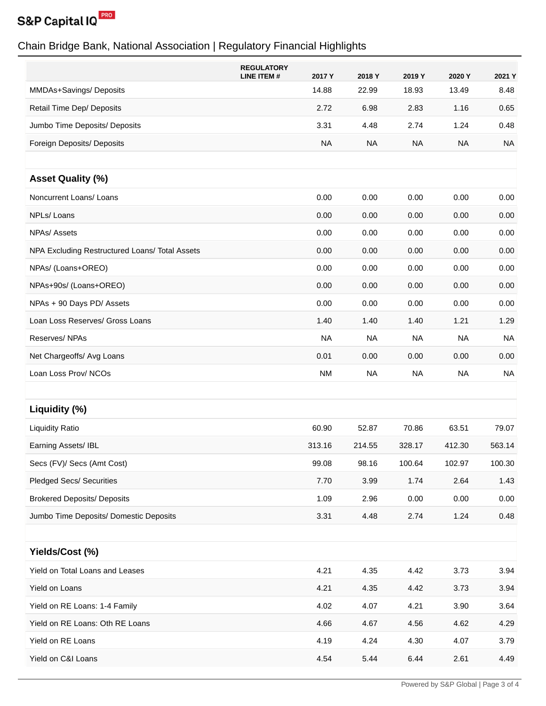

|                                                | <b>REGULATORY</b><br>2017 Y<br>LINE ITEM # | 2018 Y    | 2019 Y    | 2020 Y    | 2021 Y    |
|------------------------------------------------|--------------------------------------------|-----------|-----------|-----------|-----------|
| MMDAs+Savings/Deposits                         | 14.88                                      | 22.99     | 18.93     | 13.49     | 8.48      |
| Retail Time Dep/ Deposits                      | 2.72                                       | 6.98      | 2.83      | 1.16      | 0.65      |
| Jumbo Time Deposits/ Deposits                  | 3.31                                       | 4.48      | 2.74      | 1.24      | 0.48      |
| Foreign Deposits/ Deposits                     | <b>NA</b>                                  | <b>NA</b> | <b>NA</b> | <b>NA</b> | <b>NA</b> |
| <b>Asset Quality (%)</b>                       |                                            |           |           |           |           |
| Noncurrent Loans/ Loans                        | 0.00                                       | 0.00      | 0.00      | 0.00      | 0.00      |
| NPLs/Loans                                     | 0.00                                       | 0.00      | 0.00      | 0.00      | 0.00      |
| NPAs/ Assets                                   | 0.00                                       | 0.00      | 0.00      | 0.00      | 0.00      |
| NPA Excluding Restructured Loans/ Total Assets | 0.00                                       | 0.00      | 0.00      | 0.00      | 0.00      |
| NPAs/ (Loans+OREO)                             | 0.00                                       | 0.00      | 0.00      | 0.00      | 0.00      |
| NPAs+90s/ (Loans+OREO)                         | 0.00                                       | 0.00      | 0.00      | 0.00      | 0.00      |
| NPAs + 90 Days PD/ Assets                      | 0.00                                       | 0.00      | 0.00      | 0.00      | 0.00      |
| Loan Loss Reserves/ Gross Loans                | 1.40                                       | 1.40      | 1.40      | 1.21      | 1.29      |
| Reserves/NPAs                                  | <b>NA</b>                                  | <b>NA</b> | <b>NA</b> | <b>NA</b> | <b>NA</b> |
| Net Chargeoffs/ Avg Loans                      | 0.01                                       | 0.00      | 0.00      | 0.00      | 0.00      |
| Loan Loss Prov/ NCOs                           | <b>NM</b>                                  | <b>NA</b> | <b>NA</b> | <b>NA</b> | <b>NA</b> |
|                                                |                                            |           |           |           |           |
| Liquidity (%)                                  |                                            |           |           |           |           |
| <b>Liquidity Ratio</b>                         | 60.90                                      | 52.87     | 70.86     | 63.51     | 79.07     |
| Earning Assets/ IBL                            | 313.16                                     | 214.55    | 328.17    | 412.30    | 563.14    |
| Secs (FV)/ Secs (Amt Cost)                     | 99.08                                      | 98.16     | 100.64    | 102.97    | 100.30    |
| <b>Pledged Secs/ Securities</b>                | 7.70                                       | 3.99      | 1.74      | 2.64      | 1.43      |
| <b>Brokered Deposits/ Deposits</b>             | 1.09                                       | 2.96      | 0.00      | 0.00      | 0.00      |
| Jumbo Time Deposits/ Domestic Deposits         | 3.31                                       | 4.48      | 2.74      | 1.24      | 0.48      |
|                                                |                                            |           |           |           |           |
| Yields/Cost (%)                                |                                            |           |           |           |           |
| Yield on Total Loans and Leases                | 4.21                                       | 4.35      | 4.42      | 3.73      | 3.94      |
| Yield on Loans                                 | 4.21                                       | 4.35      | 4.42      | 3.73      | 3.94      |
| Yield on RE Loans: 1-4 Family                  | 4.02                                       | 4.07      | 4.21      | 3.90      | 3.64      |
| Yield on RE Loans: Oth RE Loans                | 4.66                                       | 4.67      | 4.56      | 4.62      | 4.29      |
| Yield on RE Loans                              | 4.19                                       | 4.24      | 4.30      | 4.07      | 3.79      |
| Yield on C&I Loans                             | 4.54                                       | 5.44      | 6.44      | 2.61      | 4.49      |